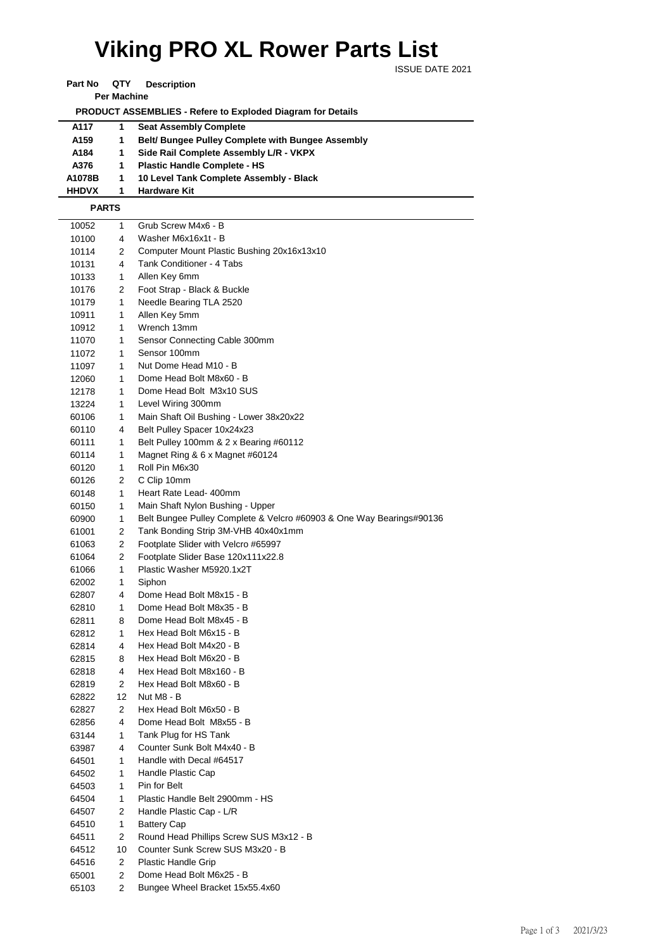## **Viking PRO XL Rower Parts List**

ISSUE DATE 2021

**Part No QTY Description** 

**Per Machine**

 **PRODUCT ASSEMBLIES - Refere to Exploded Diagram for Details** 

| A117             | <b>Seat Assembly Complete</b>                            |
|------------------|----------------------------------------------------------|
| A <sub>159</sub> | <b>Belt/ Bungee Pulley Complete with Bungee Assembly</b> |
| A184             | Side Rail Complete Assembly L/R - VKPX                   |
| A376             | <b>Plastic Handle Complete - HS</b>                      |
| A1078B           | 10 Level Tank Complete Assembly - Black                  |
| <b>HHDVX</b>     | <b>Hardware Kit</b>                                      |

 **PARTS**

| 10052 | 1                       | Grub Screw M4x6 - B                                                  |
|-------|-------------------------|----------------------------------------------------------------------|
| 10100 | 4                       | Washer M6x16x1t - B                                                  |
| 10114 | 2                       | Computer Mount Plastic Bushing 20x16x13x10                           |
| 10131 | 4                       | Tank Conditioner - 4 Tabs                                            |
| 10133 | 1                       | Allen Key 6mm                                                        |
| 10176 | 2                       | Foot Strap - Black & Buckle                                          |
| 10179 | 1                       | Needle Bearing TLA 2520                                              |
| 10911 | 1                       | Allen Key 5mm                                                        |
| 10912 | 1                       | Wrench 13mm                                                          |
| 11070 | 1                       | Sensor Connecting Cable 300mm                                        |
| 11072 | 1                       | Sensor 100mm                                                         |
| 11097 | 1                       | Nut Dome Head M10 - B                                                |
| 12060 | 1                       | Dome Head Bolt M8x60 - B                                             |
| 12178 | 1                       | Dome Head Bolt M3x10 SUS                                             |
| 13224 | 1                       | Level Wiring 300mm                                                   |
| 60106 | 1                       | Main Shaft Oil Bushing - Lower 38x20x22                              |
| 60110 | 4                       | Belt Pulley Spacer 10x24x23                                          |
| 60111 | $\mathbf{1}$            | Belt Pulley 100mm & 2 x Bearing #60112                               |
| 60114 | 1                       | Magnet Ring & 6 x Magnet #60124                                      |
| 60120 | 1                       | Roll Pin M6x30                                                       |
| 60126 | $\overline{2}$          | C Clip 10mm                                                          |
| 60148 | 1                       | Heart Rate Lead- 400mm                                               |
| 60150 | 1                       | Main Shaft Nylon Bushing - Upper                                     |
| 60900 | 1                       | Belt Bungee Pulley Complete & Velcro #60903 & One Way Bearings#90136 |
| 61001 | 2                       | Tank Bonding Strip 3M-VHB 40x40x1mm                                  |
| 61063 | 2                       | Footplate Slider with Velcro #65997                                  |
| 61064 | 2                       | Footplate Slider Base 120x111x22.8                                   |
| 61066 | 1                       | Plastic Washer M5920.1x2T                                            |
| 62002 | 1                       | Siphon                                                               |
| 62807 | 4                       | Dome Head Bolt M8x15 - B                                             |
| 62810 | 1                       | Dome Head Bolt M8x35 - B                                             |
| 62811 | 8                       | Dome Head Bolt M8x45 - B                                             |
| 62812 | 1                       | Hex Head Bolt M6x15 - B                                              |
| 62814 | 4                       | Hex Head Bolt M4x20 - B                                              |
| 62815 | 8                       | Hex Head Bolt M6x20 - B                                              |
| 62818 | 4                       | Hex Head Bolt M8x160 - B                                             |
| 62819 | 2                       | Hex Head Bolt M8x60 - B                                              |
| 62822 | 12                      | Nut M8 - B                                                           |
| 62827 | $\overline{2}$          | Hex Head Bolt M6x50 - B                                              |
| 62856 | 4                       | Dome Head Bolt M8x55 - B                                             |
| 63144 | 1                       | Tank Plug for HS Tank                                                |
| 63987 | 4                       | Counter Sunk Bolt M4x40 - B                                          |
| 64501 | 1                       | Handle with Decal #64517                                             |
| 64502 | 1                       | Handle Plastic Cap                                                   |
| 64503 | 1                       | Pin for Belt                                                         |
| 64504 | 1                       | Plastic Handle Belt 2900mm - HS                                      |
| 64507 | 2                       | Handle Plastic Cap - L/R                                             |
| 64510 | 1                       | <b>Battery Cap</b>                                                   |
| 64511 | 2                       | Round Head Phillips Screw SUS M3x12 - B                              |
| 64512 | 10                      | Counter Sunk Screw SUS M3x20 - B                                     |
| 64516 | 2                       | Plastic Handle Grip                                                  |
| 65001 | $\overline{2}$          | Dome Head Bolt M6x25 - B                                             |
| 65103 | $\overline{\mathbf{c}}$ | Bungee Wheel Bracket 15x55.4x60                                      |
|       |                         |                                                                      |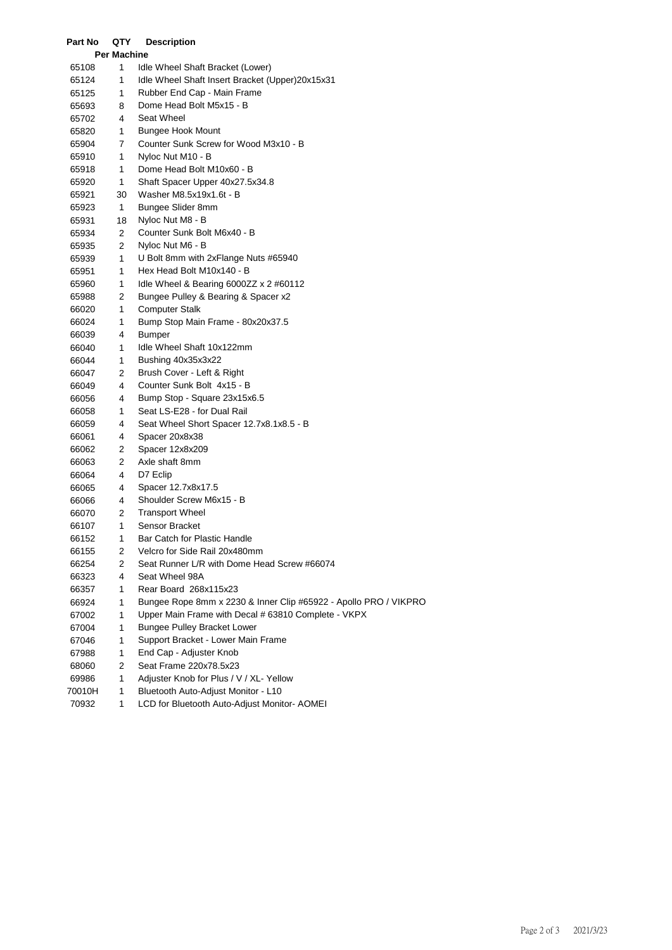| Part No | QTY                | <b>Description</b>                                               |  |  |  |
|---------|--------------------|------------------------------------------------------------------|--|--|--|
|         | <b>Per Machine</b> |                                                                  |  |  |  |
| 65108   | 1                  | Idle Wheel Shaft Bracket (Lower)                                 |  |  |  |
| 65124   | 1                  | Idle Wheel Shaft Insert Bracket (Upper)20x15x31                  |  |  |  |
| 65125   | 1                  | Rubber End Cap - Main Frame                                      |  |  |  |
| 65693   | 8                  | Dome Head Bolt M5x15 - B                                         |  |  |  |
| 65702   | 4                  | Seat Wheel                                                       |  |  |  |
| 65820   | $\mathbf{1}$       | <b>Bungee Hook Mount</b>                                         |  |  |  |
| 65904   | 7                  | Counter Sunk Screw for Wood M3x10 - B                            |  |  |  |
| 65910   | 1                  | Nyloc Nut M10 - B                                                |  |  |  |
| 65918   | 1                  | Dome Head Bolt M10x60 - B                                        |  |  |  |
| 65920   | 1                  | Shaft Spacer Upper 40x27.5x34.8                                  |  |  |  |
| 65921   | 30                 | Washer M8.5x19x1.6t - B                                          |  |  |  |
| 65923   | $\mathbf{1}$       | Bungee Slider 8mm                                                |  |  |  |
| 65931   | 18                 | Nyloc Nut M8 - B                                                 |  |  |  |
| 65934   | $\overline{2}$     | Counter Sunk Bolt M6x40 - B                                      |  |  |  |
| 65935   | 2                  | Nyloc Nut M6 - B                                                 |  |  |  |
| 65939   | $\mathbf{1}$       | U Bolt 8mm with 2xFlange Nuts #65940                             |  |  |  |
| 65951   | 1                  | Hex Head Bolt M10x140 - B                                        |  |  |  |
| 65960   | 1                  | Idle Wheel & Bearing 6000ZZ $\times$ 2 #60112                    |  |  |  |
| 65988   | 2                  | Bungee Pulley & Bearing & Spacer x2                              |  |  |  |
| 66020   | 1                  | <b>Computer Stalk</b>                                            |  |  |  |
| 66024   | 1                  | Bump Stop Main Frame - 80x20x37.5                                |  |  |  |
| 66039   | 4                  | <b>Bumper</b>                                                    |  |  |  |
| 66040   | $\mathbf{1}$       | Idle Wheel Shaft 10x122mm                                        |  |  |  |
| 66044   | 1                  | Bushing 40x35x3x22                                               |  |  |  |
| 66047   | $\overline{2}$     | Brush Cover - Left & Right                                       |  |  |  |
| 66049   | 4                  | Counter Sunk Bolt 4x15 - B                                       |  |  |  |
| 66056   | 4                  | Bump Stop - Square 23x15x6.5                                     |  |  |  |
| 66058   | 1                  | Seat LS-E28 - for Dual Rail                                      |  |  |  |
| 66059   | 4                  | Seat Wheel Short Spacer 12.7x8.1x8.5 - B                         |  |  |  |
| 66061   | 4                  | Spacer 20x8x38                                                   |  |  |  |
| 66062   | 2                  | Spacer 12x8x209                                                  |  |  |  |
| 66063   | 2                  | Axle shaft 8mm                                                   |  |  |  |
| 66064   | 4                  | D7 Eclip                                                         |  |  |  |
| 66065   | 4                  | Spacer 12.7x8x17.5                                               |  |  |  |
| 66066   | 4                  | Shoulder Screw M6x15 - B                                         |  |  |  |
| 66070   | 2                  | <b>Transport Wheel</b>                                           |  |  |  |
| 66107   | 1                  | Sensor Bracket                                                   |  |  |  |
| 66152   | 1                  | Bar Catch for Plastic Handle                                     |  |  |  |
| 66155   | 2                  | Velcro for Side Rail 20x480mm                                    |  |  |  |
| 66254   | 2                  | Seat Runner L/R with Dome Head Screw #66074                      |  |  |  |
| 66323   | 4                  | Seat Wheel 98A                                                   |  |  |  |
| 66357   | 1                  | Rear Board 268x115x23                                            |  |  |  |
| 66924   | 1                  | Bungee Rope 8mm x 2230 & Inner Clip #65922 - Apollo PRO / VIKPRO |  |  |  |
| 67002   | 1                  | Upper Main Frame with Decal # 63810 Complete - VKPX              |  |  |  |
| 67004   | 1                  | <b>Bungee Pulley Bracket Lower</b>                               |  |  |  |
| 67046   | 1                  | Support Bracket - Lower Main Frame                               |  |  |  |
| 67988   | 1                  | End Cap - Adjuster Knob                                          |  |  |  |
| 68060   | 2                  | Seat Frame 220x78.5x23                                           |  |  |  |
| 69986   | 1                  | Adjuster Knob for Plus / V / XL- Yellow                          |  |  |  |
| 70010H  | 1                  | Bluetooth Auto-Adjust Monitor - L10                              |  |  |  |
| 70932   | 1                  | LCD for Bluetooth Auto-Adjust Monitor- AOMEI                     |  |  |  |
|         |                    |                                                                  |  |  |  |